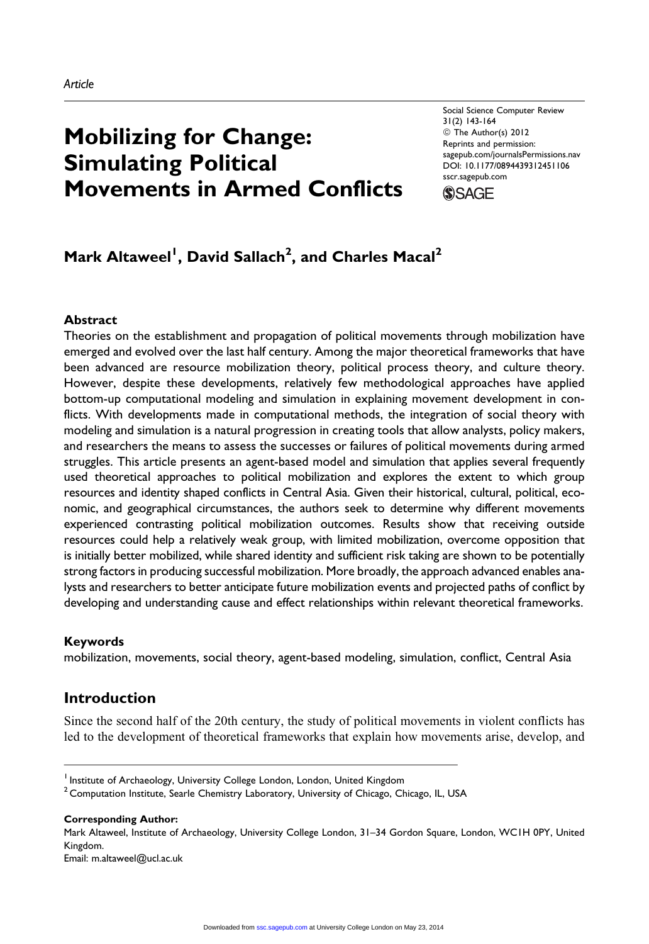# Mobilizing for Change: Simulating Political Movements in Armed Conflicts

Social Science Computer Review 31(2) 143-164 © The Author(s) 2012 Reprints and permission: [sagepub.com/journalsPermissions.nav](http://www.sagepub.com/journalsPermissions.nav) DOI: 10.1177/0894439312451106 [sscr.sagepub.com](http://sscr.sagepub.com)



## Mark Altaweel<sup>I</sup>, David Sallach<sup>2</sup>, and Charles Macal<sup>2</sup>

#### Abstract

Theories on the establishment and propagation of political movements through mobilization have emerged and evolved over the last half century. Among the major theoretical frameworks that have been advanced are resource mobilization theory, political process theory, and culture theory. However, despite these developments, relatively few methodological approaches have applied bottom-up computational modeling and simulation in explaining movement development in conflicts. With developments made in computational methods, the integration of social theory with modeling and simulation is a natural progression in creating tools that allow analysts, policy makers, and researchers the means to assess the successes or failures of political movements during armed struggles. This article presents an agent-based model and simulation that applies several frequently used theoretical approaches to political mobilization and explores the extent to which group resources and identity shaped conflicts in Central Asia. Given their historical, cultural, political, economic, and geographical circumstances, the authors seek to determine why different movements experienced contrasting political mobilization outcomes. Results show that receiving outside resources could help a relatively weak group, with limited mobilization, overcome opposition that is initially better mobilized, while shared identity and sufficient risk taking are shown to be potentially strong factors in producing successful mobilization. More broadly, the approach advanced enables analysts and researchers to better anticipate future mobilization events and projected paths of conflict by developing and understanding cause and effect relationships within relevant theoretical frameworks.

#### Keywords

mobilization, movements, social theory, agent-based modeling, simulation, conflict, Central Asia

#### Introduction

Since the second half of the 20th century, the study of political movements in violent conflicts has led to the development of theoretical frameworks that explain how movements arise, develop, and

Corresponding Author:

Mark Altaweel, Institute of Archaeology, University College London, 31–34 Gordon Square, London, WC1H 0PY, United Kingdom. Email: m.altaweel@ucl.ac.uk

<sup>&</sup>lt;sup>1</sup> Institute of Archaeology, University College London, London, United Kingdom

<sup>&</sup>lt;sup>2</sup> Computation Institute, Searle Chemistry Laboratory, University of Chicago, Chicago, IL, USA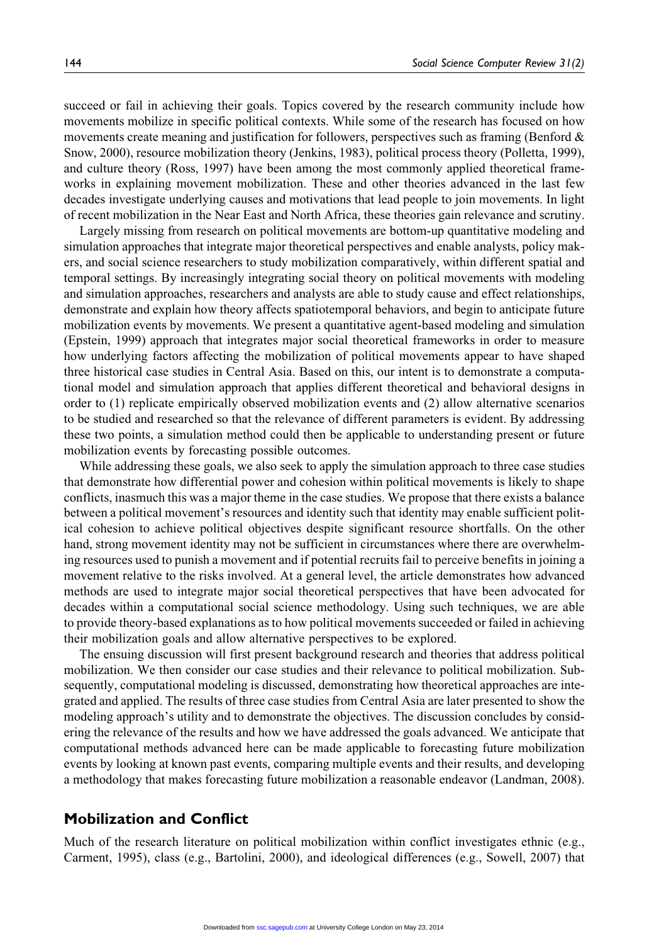succeed or fail in achieving their goals. Topics covered by the research community include how movements mobilize in specific political contexts. While some of the research has focused on how movements create meaning and justification for followers, perspectives such as framing (Benford & Snow, 2000), resource mobilization theory (Jenkins, 1983), political process theory (Polletta, 1999), and culture theory (Ross, 1997) have been among the most commonly applied theoretical frameworks in explaining movement mobilization. These and other theories advanced in the last few decades investigate underlying causes and motivations that lead people to join movements. In light of recent mobilization in the Near East and North Africa, these theories gain relevance and scrutiny.

Largely missing from research on political movements are bottom-up quantitative modeling and simulation approaches that integrate major theoretical perspectives and enable analysts, policy makers, and social science researchers to study mobilization comparatively, within different spatial and temporal settings. By increasingly integrating social theory on political movements with modeling and simulation approaches, researchers and analysts are able to study cause and effect relationships, demonstrate and explain how theory affects spatiotemporal behaviors, and begin to anticipate future mobilization events by movements. We present a quantitative agent-based modeling and simulation (Epstein, 1999) approach that integrates major social theoretical frameworks in order to measure how underlying factors affecting the mobilization of political movements appear to have shaped three historical case studies in Central Asia. Based on this, our intent is to demonstrate a computational model and simulation approach that applies different theoretical and behavioral designs in order to (1) replicate empirically observed mobilization events and (2) allow alternative scenarios to be studied and researched so that the relevance of different parameters is evident. By addressing these two points, a simulation method could then be applicable to understanding present or future mobilization events by forecasting possible outcomes.

While addressing these goals, we also seek to apply the simulation approach to three case studies that demonstrate how differential power and cohesion within political movements is likely to shape conflicts, inasmuch this was a major theme in the case studies. We propose that there exists a balance between a political movement's resources and identity such that identity may enable sufficient political cohesion to achieve political objectives despite significant resource shortfalls. On the other hand, strong movement identity may not be sufficient in circumstances where there are overwhelming resources used to punish a movement and if potential recruits fail to perceive benefits in joining a movement relative to the risks involved. At a general level, the article demonstrates how advanced methods are used to integrate major social theoretical perspectives that have been advocated for decades within a computational social science methodology. Using such techniques, we are able to provide theory-based explanations as to how political movements succeeded or failed in achieving their mobilization goals and allow alternative perspectives to be explored.

The ensuing discussion will first present background research and theories that address political mobilization. We then consider our case studies and their relevance to political mobilization. Subsequently, computational modeling is discussed, demonstrating how theoretical approaches are integrated and applied. The results of three case studies from Central Asia are later presented to show the modeling approach's utility and to demonstrate the objectives. The discussion concludes by considering the relevance of the results and how we have addressed the goals advanced. We anticipate that computational methods advanced here can be made applicable to forecasting future mobilization events by looking at known past events, comparing multiple events and their results, and developing a methodology that makes forecasting future mobilization a reasonable endeavor (Landman, 2008).

#### Mobilization and Conflict

Much of the research literature on political mobilization within conflict investigates ethnic (e.g., Carment, 1995), class (e.g., Bartolini, 2000), and ideological differences (e.g., Sowell, 2007) that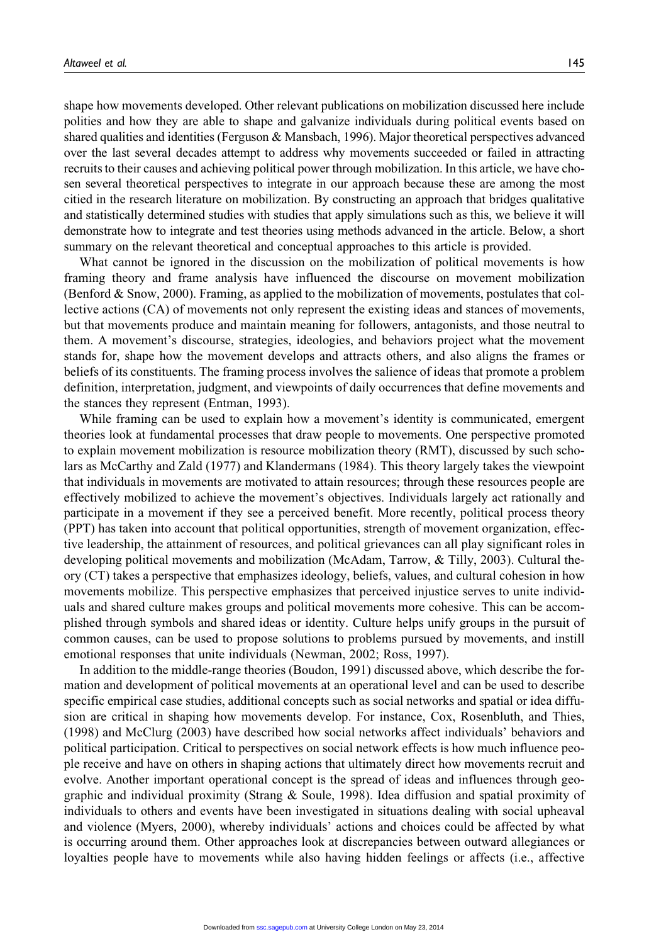shape how movements developed. Other relevant publications on mobilization discussed here include polities and how they are able to shape and galvanize individuals during political events based on shared qualities and identities (Ferguson & Mansbach, 1996). Major theoretical perspectives advanced over the last several decades attempt to address why movements succeeded or failed in attracting recruits to their causes and achieving political power through mobilization. In this article, we have chosen several theoretical perspectives to integrate in our approach because these are among the most citied in the research literature on mobilization. By constructing an approach that bridges qualitative and statistically determined studies with studies that apply simulations such as this, we believe it will demonstrate how to integrate and test theories using methods advanced in the article. Below, a short summary on the relevant theoretical and conceptual approaches to this article is provided.

What cannot be ignored in the discussion on the mobilization of political movements is how framing theory and frame analysis have influenced the discourse on movement mobilization (Benford & Snow, 2000). Framing, as applied to the mobilization of movements, postulates that collective actions (CA) of movements not only represent the existing ideas and stances of movements, but that movements produce and maintain meaning for followers, antagonists, and those neutral to them. A movement's discourse, strategies, ideologies, and behaviors project what the movement stands for, shape how the movement develops and attracts others, and also aligns the frames or beliefs of its constituents. The framing process involves the salience of ideas that promote a problem definition, interpretation, judgment, and viewpoints of daily occurrences that define movements and the stances they represent (Entman, 1993).

While framing can be used to explain how a movement's identity is communicated, emergent theories look at fundamental processes that draw people to movements. One perspective promoted to explain movement mobilization is resource mobilization theory (RMT), discussed by such scholars as McCarthy and Zald (1977) and Klandermans (1984). This theory largely takes the viewpoint that individuals in movements are motivated to attain resources; through these resources people are effectively mobilized to achieve the movement's objectives. Individuals largely act rationally and participate in a movement if they see a perceived benefit. More recently, political process theory (PPT) has taken into account that political opportunities, strength of movement organization, effective leadership, the attainment of resources, and political grievances can all play significant roles in developing political movements and mobilization (McAdam, Tarrow, & Tilly, 2003). Cultural theory (CT) takes a perspective that emphasizes ideology, beliefs, values, and cultural cohesion in how movements mobilize. This perspective emphasizes that perceived injustice serves to unite individuals and shared culture makes groups and political movements more cohesive. This can be accomplished through symbols and shared ideas or identity. Culture helps unify groups in the pursuit of common causes, can be used to propose solutions to problems pursued by movements, and instill emotional responses that unite individuals (Newman, 2002; Ross, 1997).

In addition to the middle-range theories (Boudon, 1991) discussed above, which describe the formation and development of political movements at an operational level and can be used to describe specific empirical case studies, additional concepts such as social networks and spatial or idea diffusion are critical in shaping how movements develop. For instance, Cox, Rosenbluth, and Thies, (1998) and McClurg (2003) have described how social networks affect individuals' behaviors and political participation. Critical to perspectives on social network effects is how much influence people receive and have on others in shaping actions that ultimately direct how movements recruit and evolve. Another important operational concept is the spread of ideas and influences through geographic and individual proximity (Strang & Soule, 1998). Idea diffusion and spatial proximity of individuals to others and events have been investigated in situations dealing with social upheaval and violence (Myers, 2000), whereby individuals' actions and choices could be affected by what is occurring around them. Other approaches look at discrepancies between outward allegiances or loyalties people have to movements while also having hidden feelings or affects (i.e., affective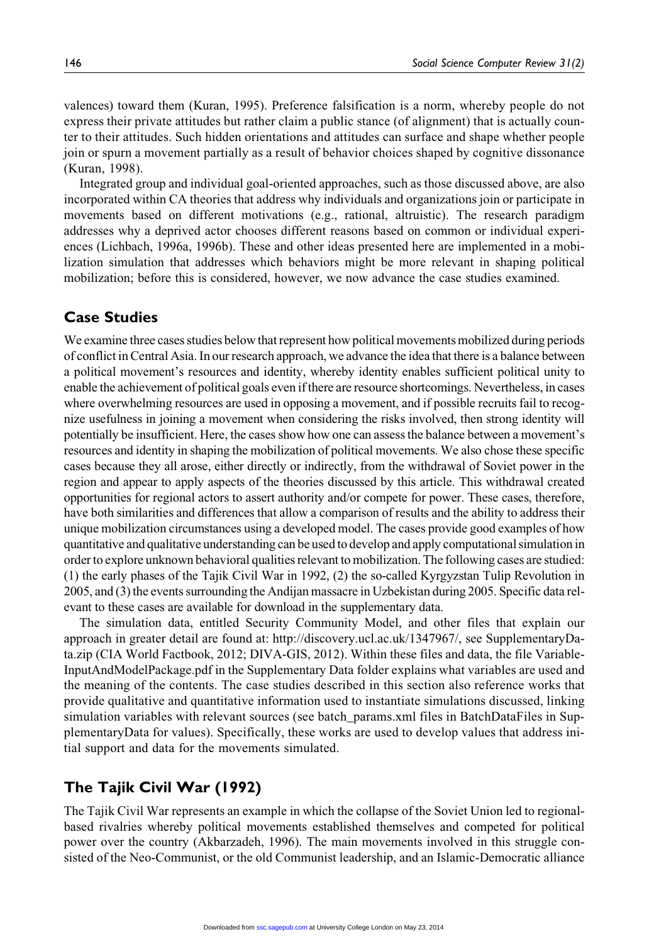valences) toward them (Kuran, 1995). Preference falsification is a norm, whereby people do not express their private attitudes but rather claim a public stance (of alignment) that is actually counter to their attitudes. Such hidden orientations and attitudes can surface and shape whether people join or spurn a movement partially as a result of behavior choices shaped by cognitive dissonance (Kuran, 1998).

Integrated group and individual goal-oriented approaches, such as those discussed above, are also incorporated within CA theories that address why individuals and organizations join or participate in movements based on different motivations (e.g., rational, altruistic). The research paradigm addresses why a deprived actor chooses different reasons based on common or individual experiences (Lichbach, 1996a, 1996b). These and other ideas presented here are implemented in a mobilization simulation that addresses which behaviors might be more relevant in shaping political mobilization; before this is considered, however, we now advance the case studies examined.

## Case Studies

We examine three cases studies below that represent how political movements mobilized during periods of conflict in Central Asia. In our research approach, we advance the idea that there is a balance between a political movement's resources and identity, whereby identity enables sufficient political unity to enable the achievement of political goals even if there are resource shortcomings. Nevertheless, in cases where overwhelming resources are used in opposing a movement, and if possible recruits fail to recognize usefulness in joining a movement when considering the risks involved, then strong identity will potentially be insufficient. Here, the cases show how one can assess the balance between a movement's resources and identity in shaping the mobilization of political movements. We also chose these specific cases because they all arose, either directly or indirectly, from the withdrawal of Soviet power in the region and appear to apply aspects of the theories discussed by this article. This withdrawal created opportunities for regional actors to assert authority and/or compete for power. These cases, therefore, have both similarities and differences that allow a comparison of results and the ability to address their unique mobilization circumstances using a developed model. The cases provide good examples of how quantitative and qualitative understanding can be used to develop and apply computational simulation in order to explore unknown behavioral qualities relevant to mobilization. The following cases are studied: (1) the early phases of the Tajik Civil War in 1992, (2) the so-called Kyrgyzstan Tulip Revolution in 2005, and (3) the events surrounding the Andijan massacre in Uzbekistan during 2005. Specific data relevant to these cases are available for download in the supplementary data.

The simulation data, entitled Security Community Model, and other files that explain our approach in greater detail are found at: http://discovery.ucl.ac.uk/1347967/, see SupplementaryData.zip (CIA World Factbook, 2012; DIVA-GIS, 2012). Within these files and data, the file Variable-InputAndModelPackage.pdf in the Supplementary Data folder explains what variables are used and the meaning of the contents. The case studies described in this section also reference works that provide qualitative and quantitative information used to instantiate simulations discussed, linking simulation variables with relevant sources (see batch\_params.xml files in BatchDataFiles in SupplementaryData for values). Specifically, these works are used to develop values that address initial support and data for the movements simulated.

## The Tajik Civil War (1992)

The Tajik Civil War represents an example in which the collapse of the Soviet Union led to regionalbased rivalries whereby political movements established themselves and competed for political power over the country (Akbarzadeh, 1996). The main movements involved in this struggle consisted of the Neo-Communist, or the old Communist leadership, and an Islamic-Democratic alliance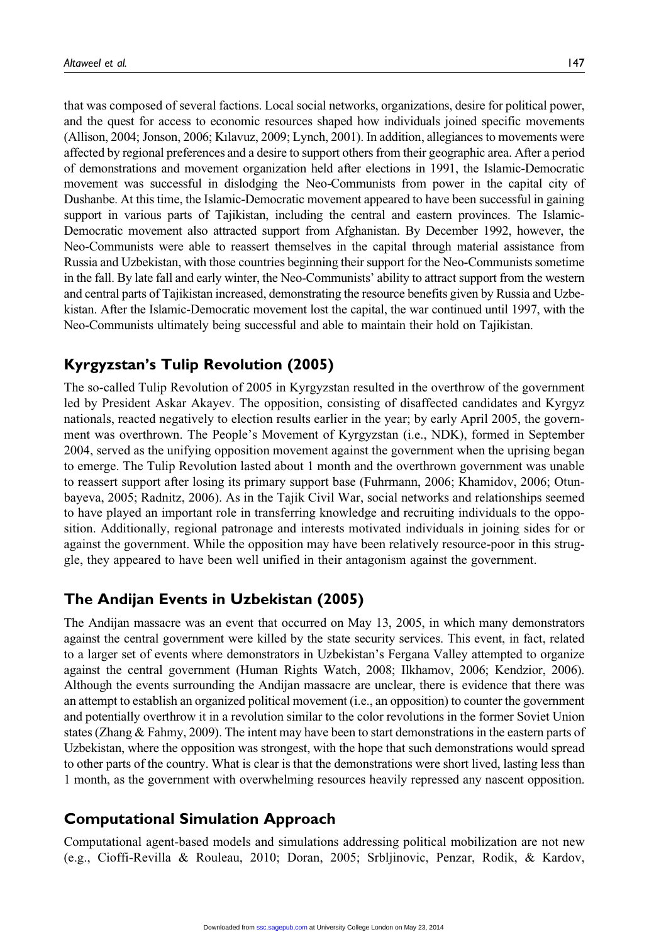that was composed of several factions. Local social networks, organizations, desire for political power, and the quest for access to economic resources shaped how individuals joined specific movements (Allison, 2004; Jonson, 2006; Kılavuz, 2009; Lynch, 2001). In addition, allegiances to movements were affected by regional preferences and a desire to support others from their geographic area. After a period of demonstrations and movement organization held after elections in 1991, the Islamic-Democratic movement was successful in dislodging the Neo-Communists from power in the capital city of Dushanbe. At this time, the Islamic-Democratic movement appeared to have been successful in gaining support in various parts of Tajikistan, including the central and eastern provinces. The Islamic-Democratic movement also attracted support from Afghanistan. By December 1992, however, the Neo-Communists were able to reassert themselves in the capital through material assistance from Russia and Uzbekistan, with those countries beginning their support for the Neo-Communists sometime in the fall. By late fall and early winter, the Neo-Communists' ability to attract support from the western and central parts of Tajikistan increased, demonstrating the resource benefits given by Russia and Uzbekistan. After the Islamic-Democratic movement lost the capital, the war continued until 1997, with the Neo-Communists ultimately being successful and able to maintain their hold on Tajikistan.

## Kyrgyzstan's Tulip Revolution (2005)

The so-called Tulip Revolution of 2005 in Kyrgyzstan resulted in the overthrow of the government led by President Askar Akayev. The opposition, consisting of disaffected candidates and Kyrgyz nationals, reacted negatively to election results earlier in the year; by early April 2005, the government was overthrown. The People's Movement of Kyrgyzstan (i.e., NDK), formed in September 2004, served as the unifying opposition movement against the government when the uprising began to emerge. The Tulip Revolution lasted about 1 month and the overthrown government was unable to reassert support after losing its primary support base (Fuhrmann, 2006; Khamidov, 2006; Otunbayeva, 2005; Radnitz, 2006). As in the Tajik Civil War, social networks and relationships seemed to have played an important role in transferring knowledge and recruiting individuals to the opposition. Additionally, regional patronage and interests motivated individuals in joining sides for or against the government. While the opposition may have been relatively resource-poor in this struggle, they appeared to have been well unified in their antagonism against the government.

## The Andijan Events in Uzbekistan (2005)

The Andijan massacre was an event that occurred on May 13, 2005, in which many demonstrators against the central government were killed by the state security services. This event, in fact, related to a larger set of events where demonstrators in Uzbekistan's Fergana Valley attempted to organize against the central government (Human Rights Watch, 2008; Ilkhamov, 2006; Kendzior, 2006). Although the events surrounding the Andijan massacre are unclear, there is evidence that there was an attempt to establish an organized political movement (i.e., an opposition) to counter the government and potentially overthrow it in a revolution similar to the color revolutions in the former Soviet Union states (Zhang & Fahmy, 2009). The intent may have been to start demonstrations in the eastern parts of Uzbekistan, where the opposition was strongest, with the hope that such demonstrations would spread to other parts of the country. What is clear is that the demonstrations were short lived, lasting less than 1 month, as the government with overwhelming resources heavily repressed any nascent opposition.

## Computational Simulation Approach

Computational agent-based models and simulations addressing political mobilization are not new (e.g., Cioffi-Revilla & Rouleau, 2010; Doran, 2005; Srbljinovic, Penzar, Rodik, & Kardov,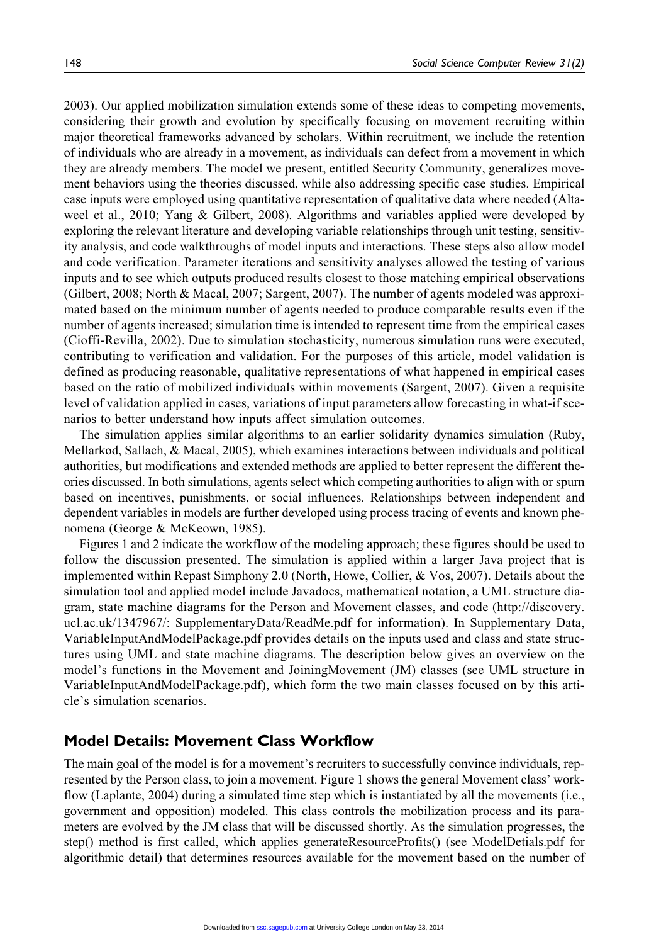2003). Our applied mobilization simulation extends some of these ideas to competing movements, considering their growth and evolution by specifically focusing on movement recruiting within major theoretical frameworks advanced by scholars. Within recruitment, we include the retention of individuals who are already in a movement, as individuals can defect from a movement in which they are already members. The model we present, entitled Security Community, generalizes movement behaviors using the theories discussed, while also addressing specific case studies. Empirical case inputs were employed using quantitative representation of qualitative data where needed (Altaweel et al., 2010; Yang & Gilbert, 2008). Algorithms and variables applied were developed by exploring the relevant literature and developing variable relationships through unit testing, sensitivity analysis, and code walkthroughs of model inputs and interactions. These steps also allow model and code verification. Parameter iterations and sensitivity analyses allowed the testing of various inputs and to see which outputs produced results closest to those matching empirical observations (Gilbert, 2008; North & Macal, 2007; Sargent, 2007). The number of agents modeled was approximated based on the minimum number of agents needed to produce comparable results even if the number of agents increased; simulation time is intended to represent time from the empirical cases (Cioffi-Revilla, 2002). Due to simulation stochasticity, numerous simulation runs were executed, contributing to verification and validation. For the purposes of this article, model validation is defined as producing reasonable, qualitative representations of what happened in empirical cases based on the ratio of mobilized individuals within movements (Sargent, 2007). Given a requisite level of validation applied in cases, variations of input parameters allow forecasting in what-if scenarios to better understand how inputs affect simulation outcomes.

The simulation applies similar algorithms to an earlier solidarity dynamics simulation (Ruby, Mellarkod, Sallach, & Macal, 2005), which examines interactions between individuals and political authorities, but modifications and extended methods are applied to better represent the different theories discussed. In both simulations, agents select which competing authorities to align with or spurn based on incentives, punishments, or social influences. Relationships between independent and dependent variables in models are further developed using process tracing of events and known phenomena (George & McKeown, 1985).

Figures 1 and 2 indicate the workflow of the modeling approach; these figures should be used to follow the discussion presented. The simulation is applied within a larger Java project that is implemented within Repast Simphony 2.0 (North, Howe, Collier, & Vos, 2007). Details about the simulation tool and applied model include Javadocs, mathematical notation, a UML structure diagram, state machine diagrams for the Person and Movement classes, and code (http://discovery. ucl.ac.uk/1347967/: SupplementaryData/ReadMe.pdf for information). In Supplementary Data, VariableInputAndModelPackage.pdf provides details on the inputs used and class and state structures using UML and state machine diagrams. The description below gives an overview on the model's functions in the Movement and JoiningMovement (JM) classes (see UML structure in VariableInputAndModelPackage.pdf), which form the two main classes focused on by this article's simulation scenarios.

#### Model Details: Movement Class Workflow

The main goal of the model is for a movement's recruiters to successfully convince individuals, represented by the Person class, to join a movement. Figure 1 shows the general Movement class' workflow (Laplante, 2004) during a simulated time step which is instantiated by all the movements (i.e., government and opposition) modeled. This class controls the mobilization process and its parameters are evolved by the JM class that will be discussed shortly. As the simulation progresses, the step() method is first called, which applies generateResourceProfits() (see ModelDetials.pdf for algorithmic detail) that determines resources available for the movement based on the number of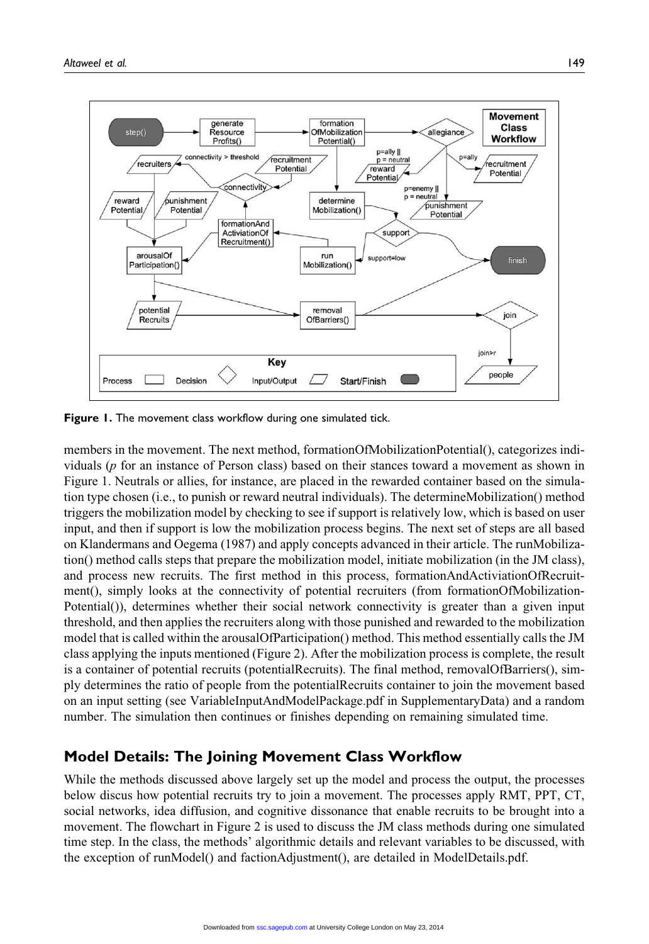

Figure 1. The movement class workflow during one simulated tick.

members in the movement. The next method, formationOfMobilizationPotential(), categorizes individuals (p for an instance of Person class) based on their stances toward a movement as shown in Figure 1. Neutrals or allies, for instance, are placed in the rewarded container based on the simulation type chosen (i.e., to punish or reward neutral individuals). The determineMobilization() method triggers the mobilization model by checking to see if support is relatively low, which is based on user input, and then if support is low the mobilization process begins. The next set of steps are all based on Klandermans and Oegema (1987) and apply concepts advanced in their article. The runMobilization() method calls steps that prepare the mobilization model, initiate mobilization (in the JM class), and process new recruits. The first method in this process, formationAndActiviationOfRecruitment(), simply looks at the connectivity of potential recruiters (from formationOfMobilization-Potential()), determines whether their social network connectivity is greater than a given input threshold, and then applies the recruiters along with those punished and rewarded to the mobilization model that is called within the arousalOfParticipation() method. This method essentially calls the JM class applying the inputs mentioned (Figure 2). After the mobilization process is complete, the result is a container of potential recruits (potentialRecruits). The final method, removalOfBarriers(), simply determines the ratio of people from the potentialRecruits container to join the movement based on an input setting (see VariableInputAndModelPackage.pdf in SupplementaryData) and a random number. The simulation then continues or finishes depending on remaining simulated time.

#### Model Details: The Joining Movement Class Workflow

While the methods discussed above largely set up the model and process the output, the processes below discus how potential recruits try to join a movement. The processes apply RMT, PPT, CT, social networks, idea diffusion, and cognitive dissonance that enable recruits to be brought into a movement. The flowchart in Figure 2 is used to discuss the JM class methods during one simulated time step. In the class, the methods' algorithmic details and relevant variables to be discussed, with the exception of runModel() and factionAdjustment(), are detailed in ModelDetails.pdf.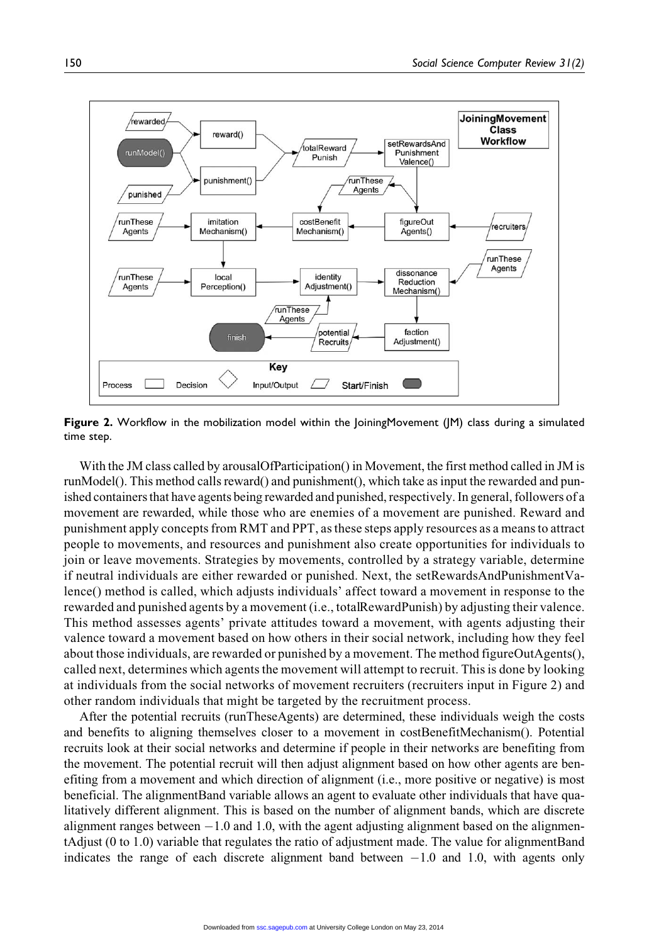

Figure 2. Workflow in the mobilization model within the JoiningMovement (JM) class during a simulated time step.

With the JM class called by arousalOfParticipation() in Movement, the first method called in JM is runModel(). This method calls reward() and punishment(), which take as input the rewarded and punished containers that have agents being rewarded and punished, respectively. In general, followers of a movement are rewarded, while those who are enemies of a movement are punished. Reward and punishment apply concepts from RMT and PPT, as these steps apply resources as a means to attract people to movements, and resources and punishment also create opportunities for individuals to join or leave movements. Strategies by movements, controlled by a strategy variable, determine if neutral individuals are either rewarded or punished. Next, the setRewardsAndPunishmentValence() method is called, which adjusts individuals' affect toward a movement in response to the rewarded and punished agents by a movement (i.e., totalRewardPunish) by adjusting their valence. This method assesses agents' private attitudes toward a movement, with agents adjusting their valence toward a movement based on how others in their social network, including how they feel about those individuals, are rewarded or punished by a movement. The method figureOutAgents(), called next, determines which agents the movement will attempt to recruit. This is done by looking at individuals from the social networks of movement recruiters (recruiters input in Figure 2) and other random individuals that might be targeted by the recruitment process.

After the potential recruits (runTheseAgents) are determined, these individuals weigh the costs and benefits to aligning themselves closer to a movement in costBenefitMechanism(). Potential recruits look at their social networks and determine if people in their networks are benefiting from the movement. The potential recruit will then adjust alignment based on how other agents are benefiting from a movement and which direction of alignment (i.e., more positive or negative) is most beneficial. The alignmentBand variable allows an agent to evaluate other individuals that have qualitatively different alignment. This is based on the number of alignment bands, which are discrete alignment ranges between  $-1.0$  and 1.0, with the agent adjusting alignment based on the alignmentAdjust (0 to 1.0) variable that regulates the ratio of adjustment made. The value for alignmentBand indicates the range of each discrete alignment band between  $-1.0$  and 1.0, with agents only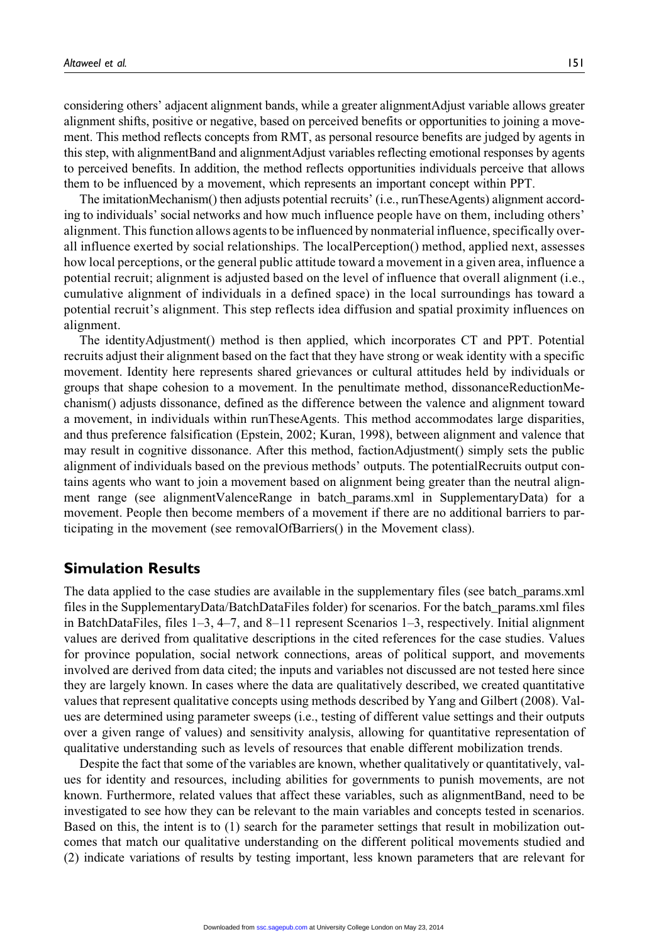considering others' adjacent alignment bands, while a greater alignmentAdjust variable allows greater alignment shifts, positive or negative, based on perceived benefits or opportunities to joining a movement. This method reflects concepts from RMT, as personal resource benefits are judged by agents in this step, with alignmentBand and alignmentAdjust variables reflecting emotional responses by agents to perceived benefits. In addition, the method reflects opportunities individuals perceive that allows them to be influenced by a movement, which represents an important concept within PPT.

The imitationMechanism() then adjusts potential recruits' (i.e., runTheseAgents) alignment according to individuals' social networks and how much influence people have on them, including others' alignment. This function allows agents to be influenced by nonmaterial influence, specifically overall influence exerted by social relationships. The localPerception() method, applied next, assesses how local perceptions, or the general public attitude toward a movement in a given area, influence a potential recruit; alignment is adjusted based on the level of influence that overall alignment (i.e., cumulative alignment of individuals in a defined space) in the local surroundings has toward a potential recruit's alignment. This step reflects idea diffusion and spatial proximity influences on alignment.

The identityAdjustment() method is then applied, which incorporates CT and PPT. Potential recruits adjust their alignment based on the fact that they have strong or weak identity with a specific movement. Identity here represents shared grievances or cultural attitudes held by individuals or groups that shape cohesion to a movement. In the penultimate method, dissonanceReductionMechanism() adjusts dissonance, defined as the difference between the valence and alignment toward a movement, in individuals within runTheseAgents. This method accommodates large disparities, and thus preference falsification (Epstein, 2002; Kuran, 1998), between alignment and valence that may result in cognitive dissonance. After this method, factionAdjustment() simply sets the public alignment of individuals based on the previous methods' outputs. The potentialRecruits output contains agents who want to join a movement based on alignment being greater than the neutral alignment range (see alignmentValenceRange in batch\_params.xml in SupplementaryData) for a movement. People then become members of a movement if there are no additional barriers to participating in the movement (see removalOfBarriers() in the Movement class).

#### Simulation Results

The data applied to the case studies are available in the supplementary files (see batch\_params.xml files in the SupplementaryData/BatchDataFiles folder) for scenarios. For the batch\_params.xml files in BatchDataFiles, files 1–3, 4–7, and 8–11 represent Scenarios 1–3, respectively. Initial alignment values are derived from qualitative descriptions in the cited references for the case studies. Values for province population, social network connections, areas of political support, and movements involved are derived from data cited; the inputs and variables not discussed are not tested here since they are largely known. In cases where the data are qualitatively described, we created quantitative values that represent qualitative concepts using methods described by Yang and Gilbert (2008). Values are determined using parameter sweeps (i.e., testing of different value settings and their outputs over a given range of values) and sensitivity analysis, allowing for quantitative representation of qualitative understanding such as levels of resources that enable different mobilization trends.

Despite the fact that some of the variables are known, whether qualitatively or quantitatively, values for identity and resources, including abilities for governments to punish movements, are not known. Furthermore, related values that affect these variables, such as alignmentBand, need to be investigated to see how they can be relevant to the main variables and concepts tested in scenarios. Based on this, the intent is to (1) search for the parameter settings that result in mobilization outcomes that match our qualitative understanding on the different political movements studied and (2) indicate variations of results by testing important, less known parameters that are relevant for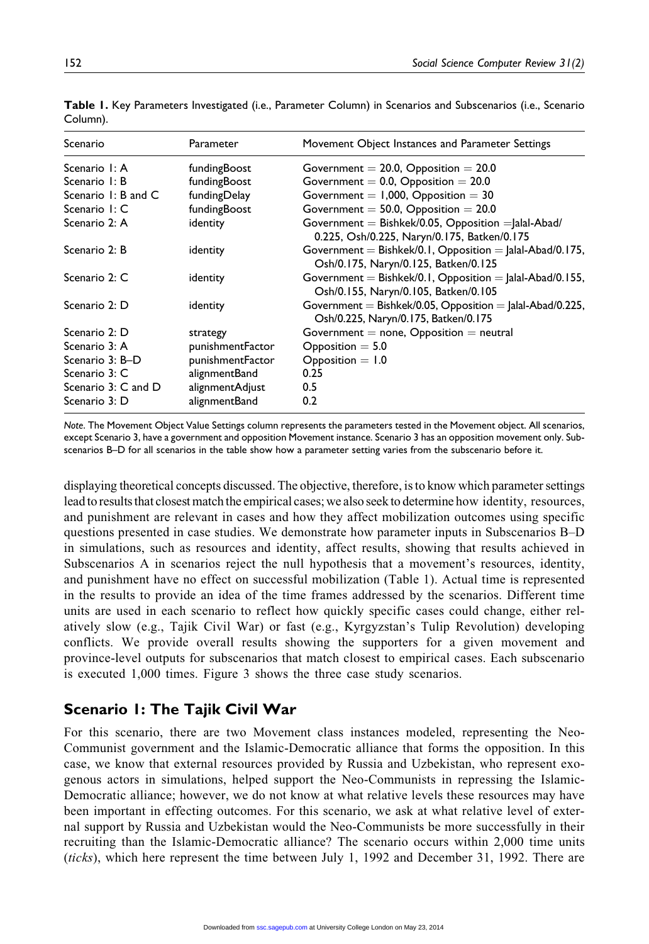| Scenario            | Parameter        | Movement Object Instances and Parameter Settings                                                    |
|---------------------|------------------|-----------------------------------------------------------------------------------------------------|
| Scenario I: A       | fundingBoost     | Government $= 20.0$ , Opposition $= 20.0$                                                           |
| Scenario I: B       | fundingBoost     | Government = $0.0$ , Opposition = $20.0$                                                            |
| Scenario 1: B and C | fundingDelay     | Government = $1,000$ , Opposition = 30                                                              |
| Scenario I: C       | fundingBoost     | Government = $50.0$ , Opposition = $20.0$                                                           |
| Scenario 2: A       | identity         | Government = Bishkek/0.05, Opposition = Jalal-Abad/<br>0.225, Osh/0.225, Naryn/0.175, Batken/0.175  |
| Scenario 2: B       | identity         | Government = Bishkek/0.1, Opposition = $ $ alal-Abad/0.175,<br>Osh/0.175, Naryn/0.125, Batken/0.125 |
| Scenario 2: C       | identity         | Government = Bishkek/0.1, Opposition = $ $ alal-Abad/0.155,<br>Osh/0.155, Naryn/0.105, Batken/0.105 |
| Scenario 2: D       | identity         | Government = Bishkek/0.05, Opposition = Jalal-Abad/0.225,<br>Osh/0.225, Naryn/0.175, Batken/0.175   |
| Scenario 2: D       | strategy         | Government $=$ none, Opposition $=$ neutral                                                         |
| Scenario 3: A       | punishmentFactor | $Opposition = 5.0$                                                                                  |
| Scenario 3: B-D     | punishmentFactor | $Opposition = 1.0$                                                                                  |
| Scenario 3: C       | alignmentBand    | 0.25                                                                                                |
| Scenario 3: C and D | alignmentAdjust  | 0.5                                                                                                 |
| Scenario 3: D       | alignmentBand    | 0.2                                                                                                 |

Table 1. Key Parameters Investigated (i.e., Parameter Column) in Scenarios and Subscenarios (i.e., Scenario Column).

Note. The Movement Object Value Settings column represents the parameters tested in the Movement object. All scenarios, except Scenario 3, have a government and opposition Movement instance. Scenario 3 has an opposition movement only. Subscenarios B–D for all scenarios in the table show how a parameter setting varies from the subscenario before it.

displaying theoretical concepts discussed. The objective, therefore, is to know which parameter settings lead to results that closest match the empirical cases; we also seek to determine how identity, resources, and punishment are relevant in cases and how they affect mobilization outcomes using specific questions presented in case studies. We demonstrate how parameter inputs in Subscenarios B–D in simulations, such as resources and identity, affect results, showing that results achieved in Subscenarios A in scenarios reject the null hypothesis that a movement's resources, identity, and punishment have no effect on successful mobilization (Table 1). Actual time is represented in the results to provide an idea of the time frames addressed by the scenarios. Different time units are used in each scenario to reflect how quickly specific cases could change, either relatively slow (e.g., Tajik Civil War) or fast (e.g., Kyrgyzstan's Tulip Revolution) developing conflicts. We provide overall results showing the supporters for a given movement and province-level outputs for subscenarios that match closest to empirical cases. Each subscenario is executed 1,000 times. Figure 3 shows the three case study scenarios.

## Scenario 1: The Tajik Civil War

For this scenario, there are two Movement class instances modeled, representing the Neo-Communist government and the Islamic-Democratic alliance that forms the opposition. In this case, we know that external resources provided by Russia and Uzbekistan, who represent exogenous actors in simulations, helped support the Neo-Communists in repressing the Islamic-Democratic alliance; however, we do not know at what relative levels these resources may have been important in effecting outcomes. For this scenario, we ask at what relative level of external support by Russia and Uzbekistan would the Neo-Communists be more successfully in their recruiting than the Islamic-Democratic alliance? The scenario occurs within 2,000 time units (ticks), which here represent the time between July 1, 1992 and December 31, 1992. There are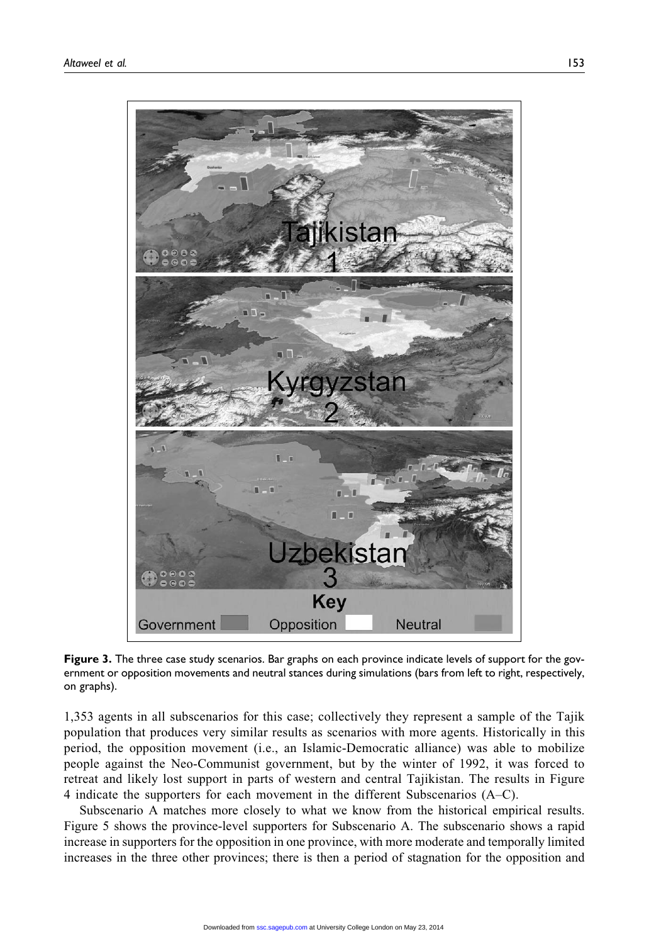

Figure 3. The three case study scenarios. Bar graphs on each province indicate levels of support for the government or opposition movements and neutral stances during simulations (bars from left to right, respectively, on graphs).

1,353 agents in all subscenarios for this case; collectively they represent a sample of the Tajik population that produces very similar results as scenarios with more agents. Historically in this period, the opposition movement (i.e., an Islamic-Democratic alliance) was able to mobilize people against the Neo-Communist government, but by the winter of 1992, it was forced to retreat and likely lost support in parts of western and central Tajikistan. The results in Figure 4 indicate the supporters for each movement in the different Subscenarios (A–C).

Subscenario A matches more closely to what we know from the historical empirical results. Figure 5 shows the province-level supporters for Subscenario A. The subscenario shows a rapid increase in supporters for the opposition in one province, with more moderate and temporally limited increases in the three other provinces; there is then a period of stagnation for the opposition and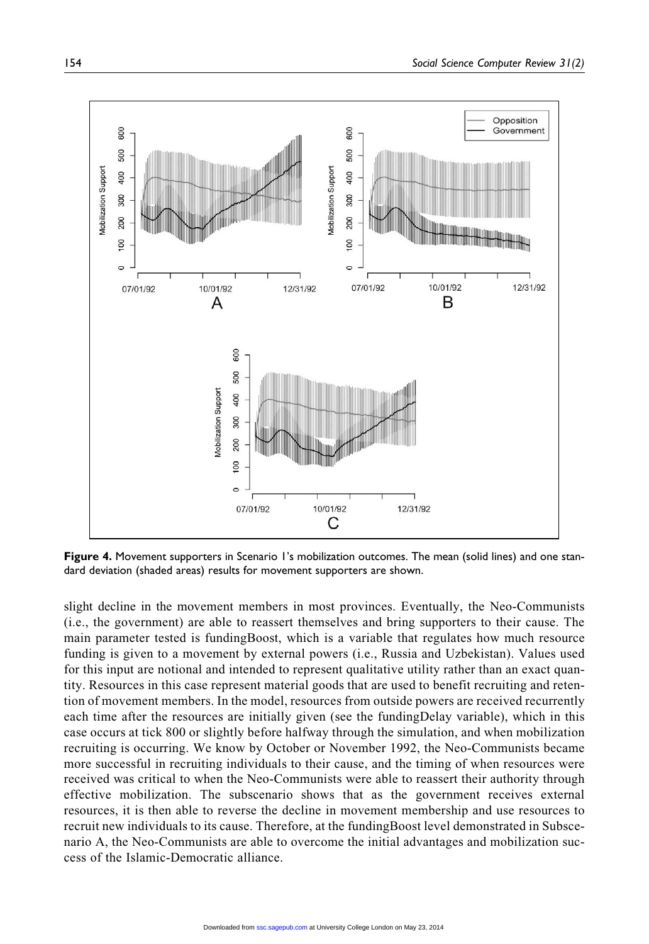

Figure 4. Movement supporters in Scenario 1's mobilization outcomes. The mean (solid lines) and one standard deviation (shaded areas) results for movement supporters are shown.

slight decline in the movement members in most provinces. Eventually, the Neo-Communists (i.e., the government) are able to reassert themselves and bring supporters to their cause. The main parameter tested is fundingBoost, which is a variable that regulates how much resource funding is given to a movement by external powers (i.e., Russia and Uzbekistan). Values used for this input are notional and intended to represent qualitative utility rather than an exact quantity. Resources in this case represent material goods that are used to benefit recruiting and retention of movement members. In the model, resources from outside powers are received recurrently each time after the resources are initially given (see the fundingDelay variable), which in this case occurs at tick 800 or slightly before halfway through the simulation, and when mobilization recruiting is occurring. We know by October or November 1992, the Neo-Communists became more successful in recruiting individuals to their cause, and the timing of when resources were received was critical to when the Neo-Communists were able to reassert their authority through effective mobilization. The subscenario shows that as the government receives external resources, it is then able to reverse the decline in movement membership and use resources to recruit new individuals to its cause. Therefore, at the fundingBoost level demonstrated in Subscenario A, the Neo-Communists are able to overcome the initial advantages and mobilization success of the Islamic-Democratic alliance.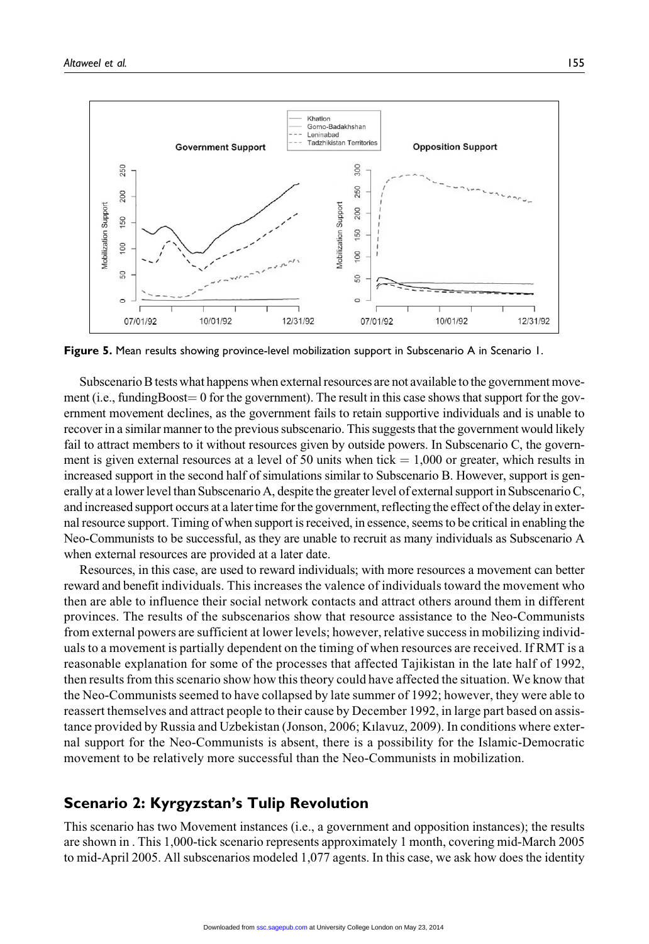

Figure 5. Mean results showing province-level mobilization support in Subscenario A in Scenario 1.

Subscenario B tests what happens when external resources are not available to the government movement (i.e., fundingBoost  $= 0$  for the government). The result in this case shows that support for the government movement declines, as the government fails to retain supportive individuals and is unable to recover in a similar manner to the previous subscenario. This suggests that the government would likely fail to attract members to it without resources given by outside powers. In Subscenario C, the government is given external resources at a level of 50 units when tick  $= 1,000$  or greater, which results in increased support in the second half of simulations similar to Subscenario B. However, support is generally at a lower level than Subscenario A, despite the greater level of external support in Subscenario C, and increased support occurs at a later time for the government, reflecting the effect of the delay in external resource support. Timing of when support is received, in essence, seems to be critical in enabling the Neo-Communists to be successful, as they are unable to recruit as many individuals as Subscenario A when external resources are provided at a later date.

Resources, in this case, are used to reward individuals; with more resources a movement can better reward and benefit individuals. This increases the valence of individuals toward the movement who then are able to influence their social network contacts and attract others around them in different provinces. The results of the subscenarios show that resource assistance to the Neo-Communists from external powers are sufficient at lower levels; however, relative success in mobilizing individuals to a movement is partially dependent on the timing of when resources are received. If RMT is a reasonable explanation for some of the processes that affected Tajikistan in the late half of 1992, then results from this scenario show how this theory could have affected the situation. We know that the Neo-Communists seemed to have collapsed by late summer of 1992; however, they were able to reassert themselves and attract people to their cause by December 1992, in large part based on assistance provided by Russia and Uzbekistan (Jonson, 2006; Kılavuz, 2009). In conditions where external support for the Neo-Communists is absent, there is a possibility for the Islamic-Democratic movement to be relatively more successful than the Neo-Communists in mobilization.

#### Scenario 2: Kyrgyzstan's Tulip Revolution

This scenario has two Movement instances (i.e., a government and opposition instances); the results are shown in . This 1,000-tick scenario represents approximately 1 month, covering mid-March 2005 to mid-April 2005. All subscenarios modeled 1,077 agents. In this case, we ask how does the identity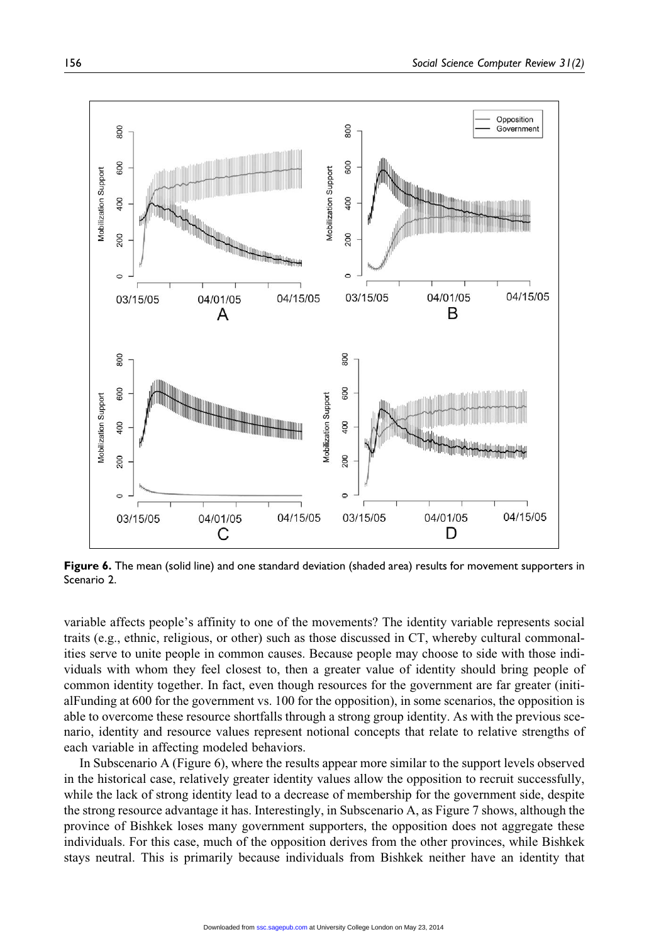

Figure 6. The mean (solid line) and one standard deviation (shaded area) results for movement supporters in Scenario 2.

variable affects people's affinity to one of the movements? The identity variable represents social traits (e.g., ethnic, religious, or other) such as those discussed in CT, whereby cultural commonalities serve to unite people in common causes. Because people may choose to side with those individuals with whom they feel closest to, then a greater value of identity should bring people of common identity together. In fact, even though resources for the government are far greater (initialFunding at 600 for the government vs. 100 for the opposition), in some scenarios, the opposition is able to overcome these resource shortfalls through a strong group identity. As with the previous scenario, identity and resource values represent notional concepts that relate to relative strengths of each variable in affecting modeled behaviors.

In Subscenario A (Figure 6), where the results appear more similar to the support levels observed in the historical case, relatively greater identity values allow the opposition to recruit successfully, while the lack of strong identity lead to a decrease of membership for the government side, despite the strong resource advantage it has. Interestingly, in Subscenario A, as Figure 7 shows, although the province of Bishkek loses many government supporters, the opposition does not aggregate these individuals. For this case, much of the opposition derives from the other provinces, while Bishkek stays neutral. This is primarily because individuals from Bishkek neither have an identity that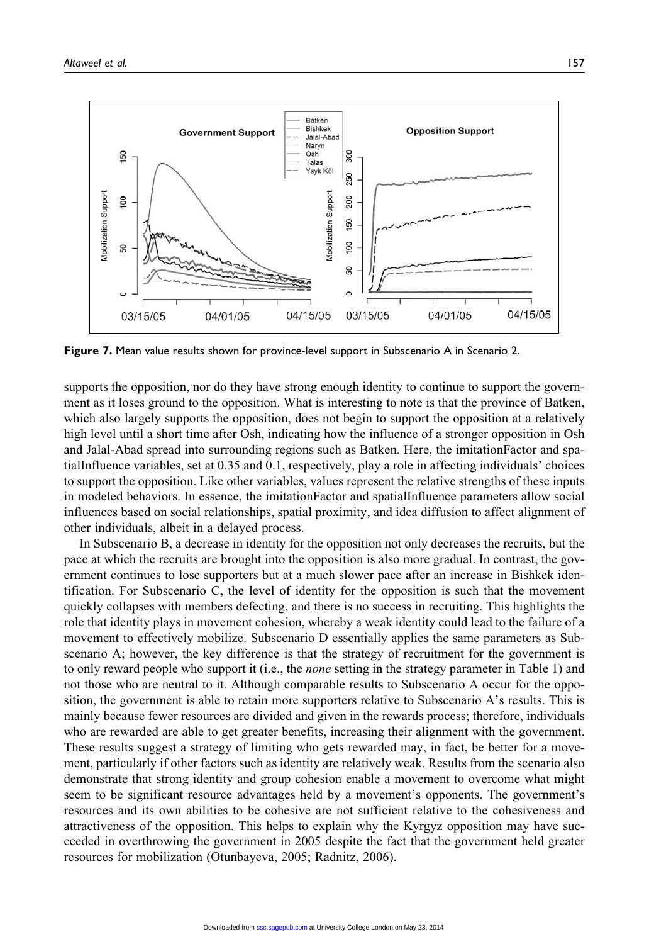

Figure 7. Mean value results shown for province-level support in Subscenario A in Scenario 2.

supports the opposition, nor do they have strong enough identity to continue to support the government as it loses ground to the opposition. What is interesting to note is that the province of Batken, which also largely supports the opposition, does not begin to support the opposition at a relatively high level until a short time after Osh, indicating how the influence of a stronger opposition in Osh and Jalal-Abad spread into surrounding regions such as Batken. Here, the imitationFactor and spatialInfluence variables, set at 0.35 and 0.1, respectively, play a role in affecting individuals' choices to support the opposition. Like other variables, values represent the relative strengths of these inputs in modeled behaviors. In essence, the imitationFactor and spatialInfluence parameters allow social influences based on social relationships, spatial proximity, and idea diffusion to affect alignment of other individuals, albeit in a delayed process.

In Subscenario B, a decrease in identity for the opposition not only decreases the recruits, but the pace at which the recruits are brought into the opposition is also more gradual. In contrast, the government continues to lose supporters but at a much slower pace after an increase in Bishkek identification. For Subscenario C, the level of identity for the opposition is such that the movement quickly collapses with members defecting, and there is no success in recruiting. This highlights the role that identity plays in movement cohesion, whereby a weak identity could lead to the failure of a movement to effectively mobilize. Subscenario D essentially applies the same parameters as Subscenario A; however, the key difference is that the strategy of recruitment for the government is to only reward people who support it (i.e., the none setting in the strategy parameter in Table 1) and not those who are neutral to it. Although comparable results to Subscenario A occur for the opposition, the government is able to retain more supporters relative to Subscenario A's results. This is mainly because fewer resources are divided and given in the rewards process; therefore, individuals who are rewarded are able to get greater benefits, increasing their alignment with the government. These results suggest a strategy of limiting who gets rewarded may, in fact, be better for a movement, particularly if other factors such as identity are relatively weak. Results from the scenario also demonstrate that strong identity and group cohesion enable a movement to overcome what might seem to be significant resource advantages held by a movement's opponents. The government's resources and its own abilities to be cohesive are not sufficient relative to the cohesiveness and attractiveness of the opposition. This helps to explain why the Kyrgyz opposition may have succeeded in overthrowing the government in 2005 despite the fact that the government held greater resources for mobilization (Otunbayeva, 2005; Radnitz, 2006).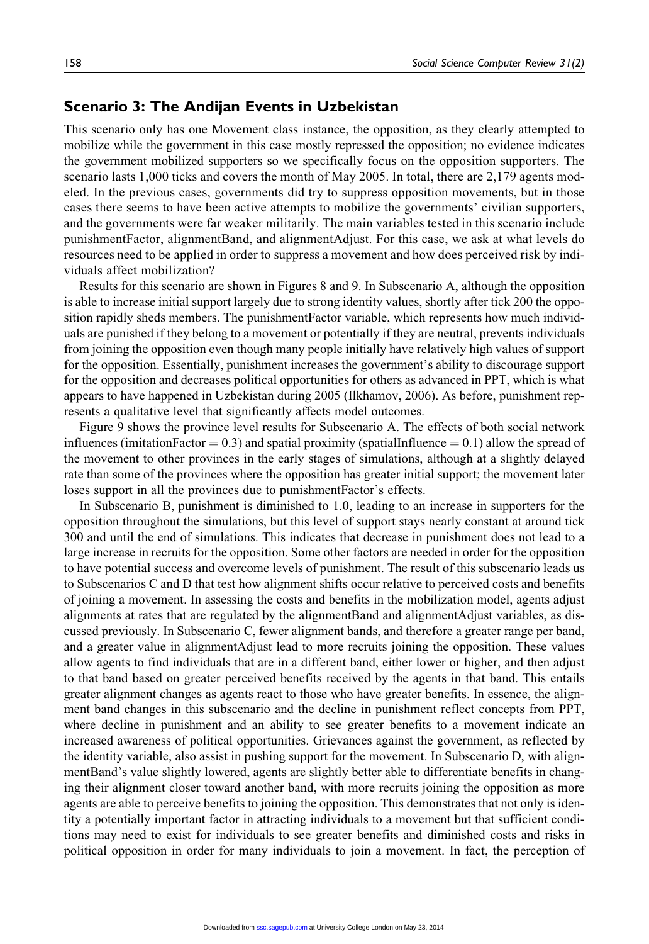#### Scenario 3: The Andijan Events in Uzbekistan

This scenario only has one Movement class instance, the opposition, as they clearly attempted to mobilize while the government in this case mostly repressed the opposition; no evidence indicates the government mobilized supporters so we specifically focus on the opposition supporters. The scenario lasts 1,000 ticks and covers the month of May 2005. In total, there are 2,179 agents modeled. In the previous cases, governments did try to suppress opposition movements, but in those cases there seems to have been active attempts to mobilize the governments' civilian supporters, and the governments were far weaker militarily. The main variables tested in this scenario include punishmentFactor, alignmentBand, and alignmentAdjust. For this case, we ask at what levels do resources need to be applied in order to suppress a movement and how does perceived risk by individuals affect mobilization?

Results for this scenario are shown in Figures 8 and 9. In Subscenario A, although the opposition is able to increase initial support largely due to strong identity values, shortly after tick 200 the opposition rapidly sheds members. The punishmentFactor variable, which represents how much individuals are punished if they belong to a movement or potentially if they are neutral, prevents individuals from joining the opposition even though many people initially have relatively high values of support for the opposition. Essentially, punishment increases the government's ability to discourage support for the opposition and decreases political opportunities for others as advanced in PPT, which is what appears to have happened in Uzbekistan during 2005 (Ilkhamov, 2006). As before, punishment represents a qualitative level that significantly affects model outcomes.

Figure 9 shows the province level results for Subscenario A. The effects of both social network influences (imitationFactor  $= 0.3$ ) and spatial proximity (spatialInfluence  $= 0.1$ ) allow the spread of the movement to other provinces in the early stages of simulations, although at a slightly delayed rate than some of the provinces where the opposition has greater initial support; the movement later loses support in all the provinces due to punishmentFactor's effects.

In Subscenario B, punishment is diminished to 1.0, leading to an increase in supporters for the opposition throughout the simulations, but this level of support stays nearly constant at around tick 300 and until the end of simulations. This indicates that decrease in punishment does not lead to a large increase in recruits for the opposition. Some other factors are needed in order for the opposition to have potential success and overcome levels of punishment. The result of this subscenario leads us to Subscenarios C and D that test how alignment shifts occur relative to perceived costs and benefits of joining a movement. In assessing the costs and benefits in the mobilization model, agents adjust alignments at rates that are regulated by the alignmentBand and alignmentAdjust variables, as discussed previously. In Subscenario C, fewer alignment bands, and therefore a greater range per band, and a greater value in alignmentAdjust lead to more recruits joining the opposition. These values allow agents to find individuals that are in a different band, either lower or higher, and then adjust to that band based on greater perceived benefits received by the agents in that band. This entails greater alignment changes as agents react to those who have greater benefits. In essence, the alignment band changes in this subscenario and the decline in punishment reflect concepts from PPT, where decline in punishment and an ability to see greater benefits to a movement indicate an increased awareness of political opportunities. Grievances against the government, as reflected by the identity variable, also assist in pushing support for the movement. In Subscenario D, with alignmentBand's value slightly lowered, agents are slightly better able to differentiate benefits in changing their alignment closer toward another band, with more recruits joining the opposition as more agents are able to perceive benefits to joining the opposition. This demonstrates that not only is identity a potentially important factor in attracting individuals to a movement but that sufficient conditions may need to exist for individuals to see greater benefits and diminished costs and risks in political opposition in order for many individuals to join a movement. In fact, the perception of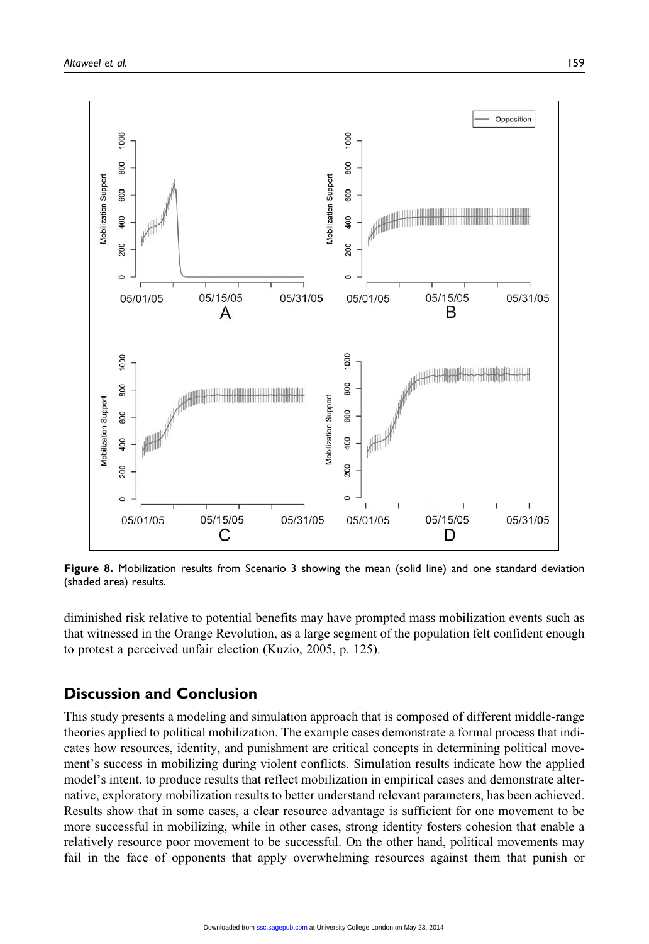

Figure 8. Mobilization results from Scenario 3 showing the mean (solid line) and one standard deviation (shaded area) results.

diminished risk relative to potential benefits may have prompted mass mobilization events such as that witnessed in the Orange Revolution, as a large segment of the population felt confident enough to protest a perceived unfair election (Kuzio, 2005, p. 125).

## Discussion and Conclusion

This study presents a modeling and simulation approach that is composed of different middle-range theories applied to political mobilization. The example cases demonstrate a formal process that indicates how resources, identity, and punishment are critical concepts in determining political movement's success in mobilizing during violent conflicts. Simulation results indicate how the applied model's intent, to produce results that reflect mobilization in empirical cases and demonstrate alternative, exploratory mobilization results to better understand relevant parameters, has been achieved. Results show that in some cases, a clear resource advantage is sufficient for one movement to be more successful in mobilizing, while in other cases, strong identity fosters cohesion that enable a relatively resource poor movement to be successful. On the other hand, political movements may fail in the face of opponents that apply overwhelming resources against them that punish or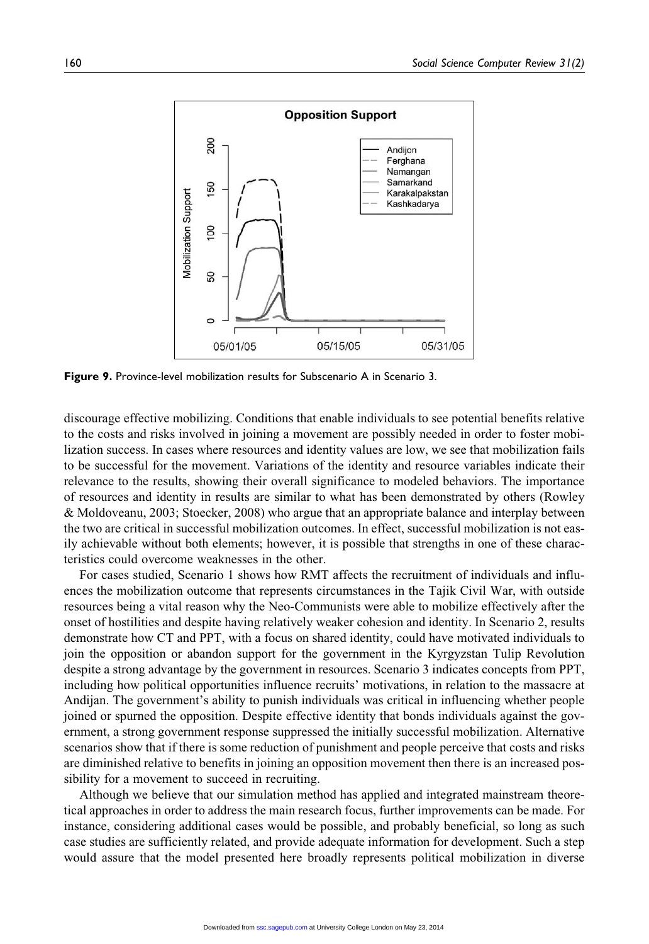

Figure 9. Province-level mobilization results for Subscenario A in Scenario 3.

discourage effective mobilizing. Conditions that enable individuals to see potential benefits relative to the costs and risks involved in joining a movement are possibly needed in order to foster mobilization success. In cases where resources and identity values are low, we see that mobilization fails to be successful for the movement. Variations of the identity and resource variables indicate their relevance to the results, showing their overall significance to modeled behaviors. The importance of resources and identity in results are similar to what has been demonstrated by others (Rowley & Moldoveanu, 2003; Stoecker, 2008) who argue that an appropriate balance and interplay between the two are critical in successful mobilization outcomes. In effect, successful mobilization is not easily achievable without both elements; however, it is possible that strengths in one of these characteristics could overcome weaknesses in the other.

For cases studied, Scenario 1 shows how RMT affects the recruitment of individuals and influences the mobilization outcome that represents circumstances in the Tajik Civil War, with outside resources being a vital reason why the Neo-Communists were able to mobilize effectively after the onset of hostilities and despite having relatively weaker cohesion and identity. In Scenario 2, results demonstrate how CT and PPT, with a focus on shared identity, could have motivated individuals to join the opposition or abandon support for the government in the Kyrgyzstan Tulip Revolution despite a strong advantage by the government in resources. Scenario 3 indicates concepts from PPT, including how political opportunities influence recruits' motivations, in relation to the massacre at Andijan. The government's ability to punish individuals was critical in influencing whether people joined or spurned the opposition. Despite effective identity that bonds individuals against the government, a strong government response suppressed the initially successful mobilization. Alternative scenarios show that if there is some reduction of punishment and people perceive that costs and risks are diminished relative to benefits in joining an opposition movement then there is an increased possibility for a movement to succeed in recruiting.

Although we believe that our simulation method has applied and integrated mainstream theoretical approaches in order to address the main research focus, further improvements can be made. For instance, considering additional cases would be possible, and probably beneficial, so long as such case studies are sufficiently related, and provide adequate information for development. Such a step would assure that the model presented here broadly represents political mobilization in diverse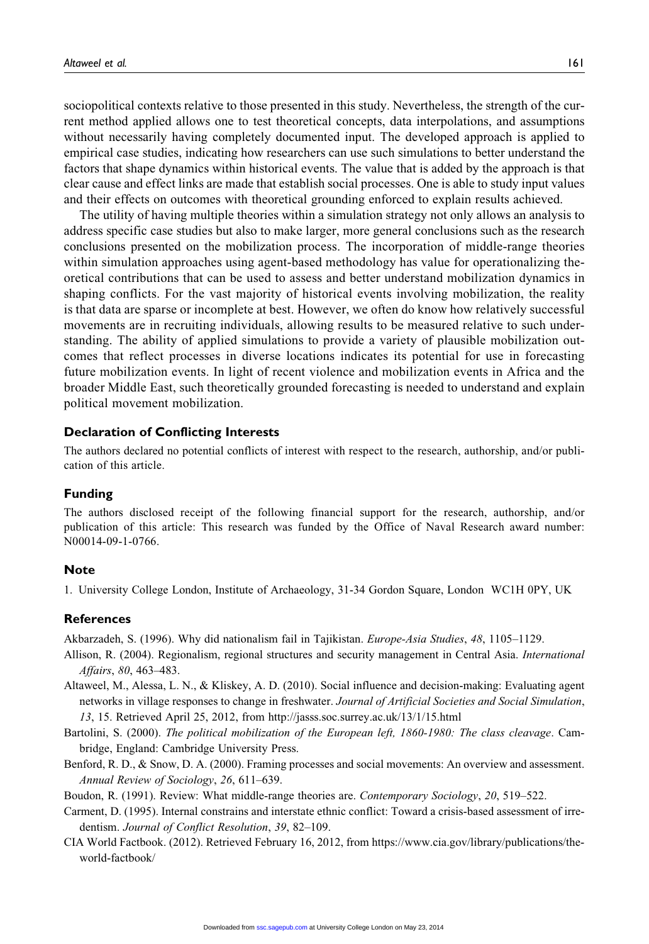sociopolitical contexts relative to those presented in this study. Nevertheless, the strength of the current method applied allows one to test theoretical concepts, data interpolations, and assumptions without necessarily having completely documented input. The developed approach is applied to empirical case studies, indicating how researchers can use such simulations to better understand the factors that shape dynamics within historical events. The value that is added by the approach is that clear cause and effect links are made that establish social processes. One is able to study input values and their effects on outcomes with theoretical grounding enforced to explain results achieved.

The utility of having multiple theories within a simulation strategy not only allows an analysis to address specific case studies but also to make larger, more general conclusions such as the research conclusions presented on the mobilization process. The incorporation of middle-range theories within simulation approaches using agent-based methodology has value for operationalizing theoretical contributions that can be used to assess and better understand mobilization dynamics in shaping conflicts. For the vast majority of historical events involving mobilization, the reality is that data are sparse or incomplete at best. However, we often do know how relatively successful movements are in recruiting individuals, allowing results to be measured relative to such understanding. The ability of applied simulations to provide a variety of plausible mobilization outcomes that reflect processes in diverse locations indicates its potential for use in forecasting future mobilization events. In light of recent violence and mobilization events in Africa and the broader Middle East, such theoretically grounded forecasting is needed to understand and explain political movement mobilization.

#### Declaration of Conflicting Interests

The authors declared no potential conflicts of interest with respect to the research, authorship, and/or publication of this article.

#### Funding

The authors disclosed receipt of the following financial support for the research, authorship, and/or publication of this article: This research was funded by the Office of Naval Research award number: N00014-09-1-0766.

#### **Note**

1. University College London, Institute of Archaeology, 31-34 Gordon Square, London WC1H 0PY, UK

#### References

Akbarzadeh, S. (1996). Why did nationalism fail in Tajikistan. Europe-Asia Studies, 48, 1105–1129.

- Allison, R. (2004). Regionalism, regional structures and security management in Central Asia. International Affairs, 80, 463–483.
- Altaweel, M., Alessa, L. N., & Kliskey, A. D. (2010). Social influence and decision-making: Evaluating agent networks in village responses to change in freshwater. Journal of Artificial Societies and Social Simulation, 13, 15. Retrieved April 25, 2012, from<http://jasss.soc.surrey.ac.uk/13/1/15.html>
- Bartolini, S. (2000). The political mobilization of the European left, 1860-1980: The class cleavage. Cambridge, England: Cambridge University Press.
- Benford, R. D., & Snow, D. A. (2000). Framing processes and social movements: An overview and assessment. Annual Review of Sociology, 26, 611–639.
- Boudon, R. (1991). Review: What middle-range theories are. Contemporary Sociology, 20, 519–522.
- Carment, D. (1995). Internal constrains and interstate ethnic conflict: Toward a crisis-based assessment of irredentism. Journal of Conflict Resolution, 39, 82–109.
- CIA World Factbook. (2012). Retrieved February 16, 2012, from [https://www.cia.gov/library/publications/the](https://www.cia.gov/library/publications/the-world-factbook/)[world-factbook/](https://www.cia.gov/library/publications/the-world-factbook/)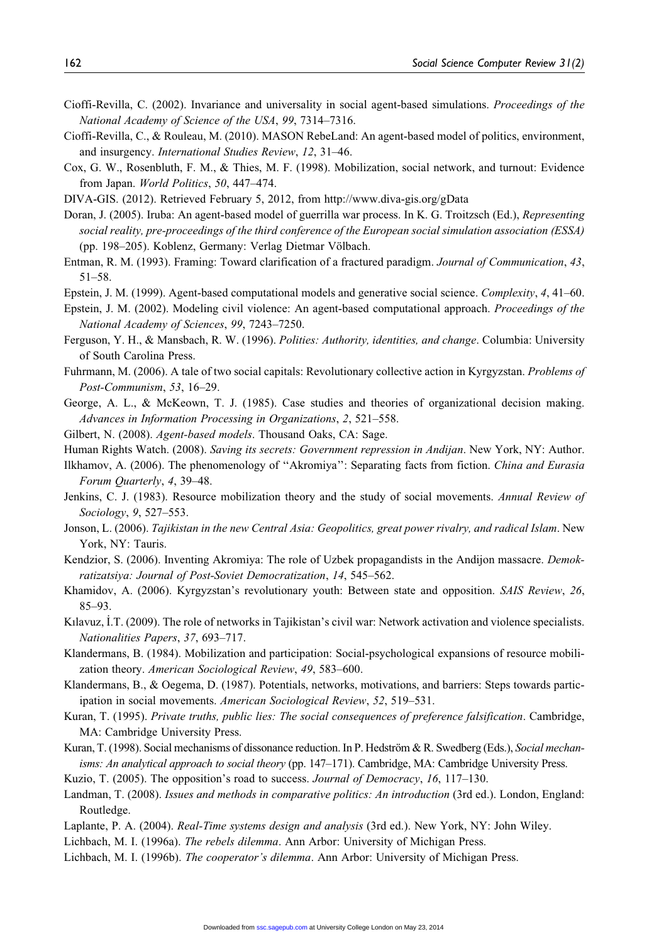- Cioffi-Revilla, C. (2002). Invariance and universality in social agent-based simulations. Proceedings of the National Academy of Science of the USA, 99, 7314–7316.
- Cioffi-Revilla, C., & Rouleau, M. (2010). MASON RebeLand: An agent-based model of politics, environment, and insurgency. International Studies Review, 12, 31–46.
- Cox, G. W., Rosenbluth, F. M., & Thies, M. F. (1998). Mobilization, social network, and turnout: Evidence from Japan. World Politics, 50, 447–474.
- DIVA-GIS. (2012). Retrieved February 5, 2012, from<http://www.diva-gis.org/gData>
- Doran, J. (2005). Iruba: An agent-based model of guerrilla war process. In K. G. Troitzsch (Ed.), Representing social reality, pre-proceedings of the third conference of the European social simulation association (ESSA) (pp. 198–205). Koblenz, Germany: Verlag Dietmar Völbach.
- Entman, R. M. (1993). Framing: Toward clarification of a fractured paradigm. Journal of Communication, 43, 51–58.
- Epstein, J. M. (1999). Agent-based computational models and generative social science. Complexity, 4, 41–60.
- Epstein, J. M. (2002). Modeling civil violence: An agent-based computational approach. Proceedings of the National Academy of Sciences, 99, 7243–7250.
- Ferguson, Y. H., & Mansbach, R. W. (1996). Polities: Authority, identities, and change. Columbia: University of South Carolina Press.
- Fuhrmann, M. (2006). A tale of two social capitals: Revolutionary collective action in Kyrgyzstan. Problems of Post-Communism, 53, 16–29.
- George, A. L., & McKeown, T. J. (1985). Case studies and theories of organizational decision making. Advances in Information Processing in Organizations, 2, 521–558.
- Gilbert, N. (2008). Agent-based models. Thousand Oaks, CA: Sage.
- Human Rights Watch. (2008). Saving its secrets: Government repression in Andijan. New York, NY: Author.
- Ilkhamov, A. (2006). The phenomenology of ''Akromiya'': Separating facts from fiction. China and Eurasia Forum Quarterly, 4, 39–48.
- Jenkins, C. J. (1983). Resource mobilization theory and the study of social movements. Annual Review of Sociology, 9, 527–553.
- Jonson, L. (2006). Tajikistan in the new Central Asia: Geopolitics, great power rivalry, and radical Islam. New York, NY: Tauris.
- Kendzior, S. (2006). Inventing Akromiya: The role of Uzbek propagandists in the Andijon massacre. *Demok*ratizatsiya: Journal of Post-Soviet Democratization, 14, 545–562.
- Khamidov, A. (2006). Kyrgyzstan's revolutionary youth: Between state and opposition. SAIS Review, 26, 85–93.
- Kılavuz, İ.T. (2009). The role of networks in Tajikistan's civil war: Network activation and violence specialists. Nationalities Papers, 37, 693–717.
- Klandermans, B. (1984). Mobilization and participation: Social-psychological expansions of resource mobilization theory. American Sociological Review, 49, 583–600.
- Klandermans, B., & Oegema, D. (1987). Potentials, networks, motivations, and barriers: Steps towards participation in social movements. American Sociological Review, 52, 519–531.
- Kuran, T. (1995). Private truths, public lies: The social consequences of preference falsification. Cambridge, MA: Cambridge University Press.
- Kuran, T. (1998). Social mechanisms of dissonance reduction. In P. Hedström & R. Swedberg (Eds.), Social mechanisms: An analytical approach to social theory (pp. 147-171). Cambridge, MA: Cambridge University Press.
- Kuzio, T. (2005). The opposition's road to success. Journal of Democracy, 16, 117-130.
- Landman, T. (2008). Issues and methods in comparative politics: An introduction (3rd ed.). London, England: Routledge.
- Laplante, P. A. (2004). Real-Time systems design and analysis (3rd ed.). New York, NY: John Wiley.
- Lichbach, M. I. (1996a). The rebels dilemma. Ann Arbor: University of Michigan Press.
- Lichbach, M. I. (1996b). The cooperator's dilemma. Ann Arbor: University of Michigan Press.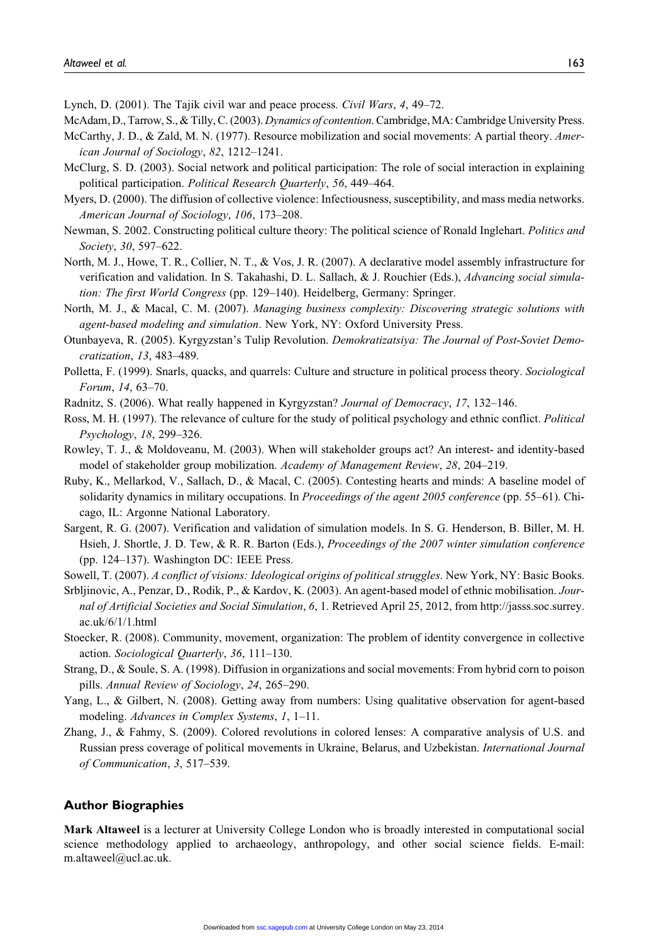Lynch, D. (2001). The Tajik civil war and peace process. Civil Wars, 4, 49–72.

McAdam, D., Tarrow, S., & Tilly, C. (2003). Dynamics of contention. Cambridge, MA: Cambridge University Press.

- McCarthy, J. D., & Zald, M. N. (1977). Resource mobilization and social movements: A partial theory. American Journal of Sociology, 82, 1212–1241.
- McClurg, S. D. (2003). Social network and political participation: The role of social interaction in explaining political participation. Political Research Quarterly, 56, 449-464.
- Myers, D. (2000). The diffusion of collective violence: Infectiousness, susceptibility, and mass media networks. American Journal of Sociology, 106, 173–208.
- Newman, S. 2002. Constructing political culture theory: The political science of Ronald Inglehart. Politics and Society, 30, 597–622.
- North, M. J., Howe, T. R., Collier, N. T., & Vos, J. R. (2007). A declarative model assembly infrastructure for verification and validation. In S. Takahashi, D. L. Sallach, & J. Rouchier (Eds.), Advancing social simulation: The first World Congress (pp. 129–140). Heidelberg, Germany: Springer.
- North, M. J., & Macal, C. M. (2007). Managing business complexity: Discovering strategic solutions with agent-based modeling and simulation. New York, NY: Oxford University Press.
- Otunbayeva, R. (2005). Kyrgyzstan's Tulip Revolution. Demokratizatsiya: The Journal of Post-Soviet Democratization, 13, 483–489.
- Polletta, F. (1999). Snarls, quacks, and quarrels: Culture and structure in political process theory. Sociological Forum, 14, 63–70.
- Radnitz, S. (2006). What really happened in Kyrgyzstan? Journal of Democracy, 17, 132–146.
- Ross, M. H. (1997). The relevance of culture for the study of political psychology and ethnic conflict. Political Psychology, 18, 299–326.
- Rowley, T. J., & Moldoveanu, M. (2003). When will stakeholder groups act? An interest- and identity-based model of stakeholder group mobilization. Academy of Management Review, 28, 204–219.
- Ruby, K., Mellarkod, V., Sallach, D., & Macal, C. (2005). Contesting hearts and minds: A baseline model of solidarity dynamics in military occupations. In Proceedings of the agent 2005 conference (pp. 55–61). Chicago, IL: Argonne National Laboratory.
- Sargent, R. G. (2007). Verification and validation of simulation models. In S. G. Henderson, B. Biller, M. H. Hsieh, J. Shortle, J. D. Tew, & R. R. Barton (Eds.), Proceedings of the 2007 winter simulation conference (pp. 124–137). Washington DC: IEEE Press.

Sowell, T. (2007). A conflict of visions: Ideological origins of political struggles. New York, NY: Basic Books.

- Srbljinovic, A., Penzar, D., Rodik, P., & Kardov, K. (2003). An agent-based model of ethnic mobilisation. Journal of Artificial Societies and Social Simulation, 6, 1. Retrieved April 25, 2012, from [http://jasss.soc.surrey.](http://jasss.soc.surrey.ac.uk/6/1/1.html) [ac.uk/6/1/1.html](http://jasss.soc.surrey.ac.uk/6/1/1.html)
- Stoecker, R. (2008). Community, movement, organization: The problem of identity convergence in collective action. Sociological Quarterly, 36, 111–130.
- Strang, D., & Soule, S. A. (1998). Diffusion in organizations and social movements: From hybrid corn to poison pills. Annual Review of Sociology, 24, 265–290.
- Yang, L., & Gilbert, N. (2008). Getting away from numbers: Using qualitative observation for agent-based modeling. Advances in Complex Systems, 1, 1–11.
- Zhang, J., & Fahmy, S. (2009). Colored revolutions in colored lenses: A comparative analysis of U.S. and Russian press coverage of political movements in Ukraine, Belarus, and Uzbekistan. International Journal of Communication, 3, 517–539.

#### Author Biographies

Mark Altaweel is a lecturer at University College London who is broadly interested in computational social science methodology applied to archaeology, anthropology, and other social science fields. E-mail: m.altaweel@ucl.ac.uk.